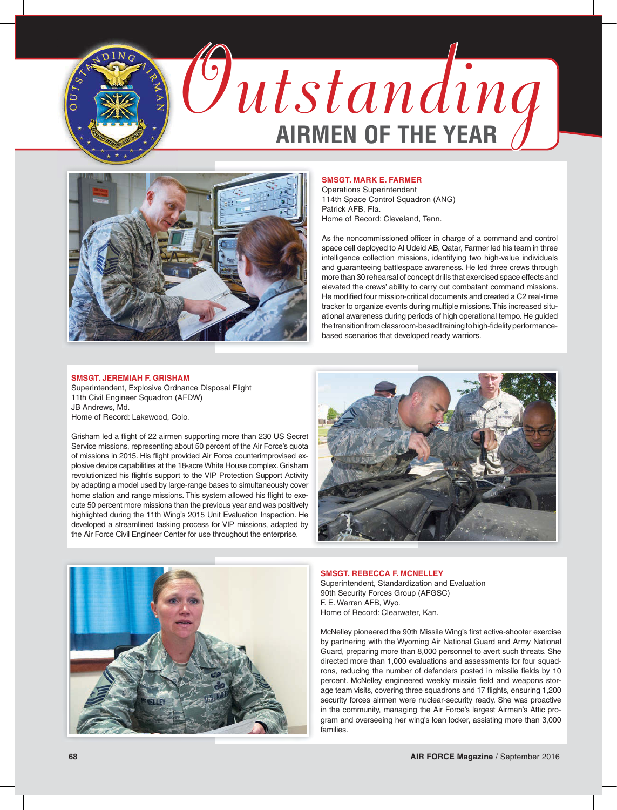



## **SMSGT. MARK E. FARMER**

Operations Superintendent 114th Space Control Squadron (ANG) Patrick AFB, Fla. Home of Record: Cleveland, Tenn.

As the noncommissioned officer in charge of a command and control space cell deployed to Al Udeid AB, Qatar, Farmer led his team in three intelligence collection missions, identifying two high-value individuals and guaranteeing battlespace awareness. He led three crews through more than 30 rehearsal of concept drills that exercised space effects and elevated the crews' ability to carry out combatant command missions. He modified four mission-critical documents and created a C2 real-time tracker to organize events during multiple missions. This increased situational awareness during periods of high operational tempo. He guided the transition from classroom-based training to high-fidelity performancebased scenarios that developed ready warriors.

# **SMSGT. JEREMIAH F. GRISHAM**

Superintendent, Explosive Ordnance Disposal Flight 11th Civil Engineer Squadron (AFDW) JB Andrews, Md. Home of Record: Lakewood, Colo.

Grisham led a flight of 22 airmen supporting more than 230 US Secret Service missions, representing about 50 percent of the Air Force's quota of missions in 2015. His flight provided Air Force counterimprovised explosive device capabilities at the 18-acre White House complex. Grisham revolutionized his flight's support to the VIP Protection Support Activity by adapting a model used by large-range bases to simultaneously cover home station and range missions. This system allowed his flight to execute 50 percent more missions than the previous year and was positively highlighted during the 11th Wing's 2015 Unit Evaluation Inspection. He developed a streamlined tasking process for VIP missions, adapted by the Air Force Civil Engineer Center for use throughout the enterprise.





### **SMSGT. REBECCA F. MCNELLEY**

Superintendent, Standardization and Evaluation 90th Security Forces Group (AFGSC) F. E. Warren AFB, Wyo. Home of Record: Clearwater, Kan.

McNelley pioneered the 90th Missile Wing's first active-shooter exercise by partnering with the Wyoming Air National Guard and Army National Guard, preparing more than 8,000 personnel to avert such threats. She directed more than 1,000 evaluations and assessments for four squadrons, reducing the number of defenders posted in missile fields by 10 percent. McNelley engineered weekly missile field and weapons storage team visits, covering three squadrons and 17 flights, ensuring 1,200 security forces airmen were nuclear-security ready. She was proactive in the community, managing the Air Force's largest Airman's Attic program and overseeing her wing's loan locker, assisting more than 3,000 families.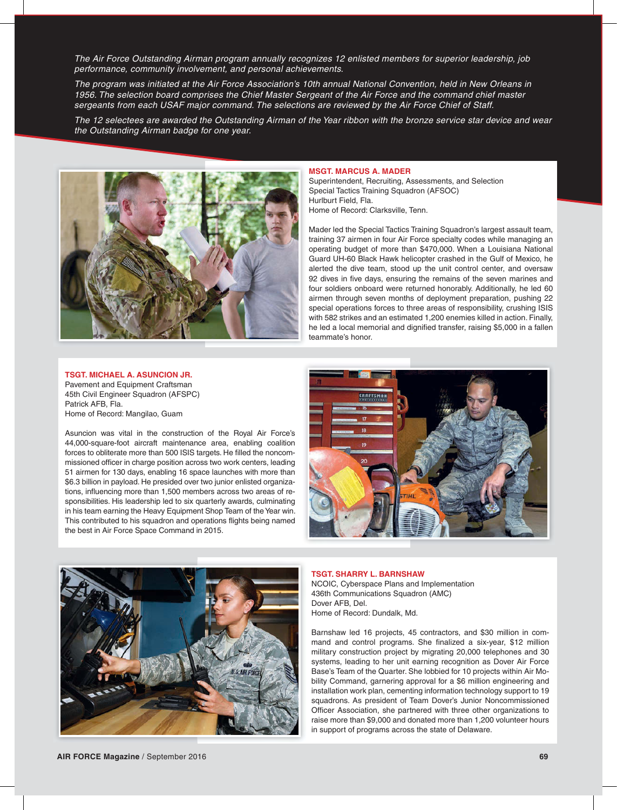*performance, community involvement, and personal achievements.*

*The Air Force Outstanding Airman program annually recognizes 12 enlisted members for superior leadership, job performance, community involvement, and personal achievements.*<br>*The program was initiated at the Air Force A The program was initiated at the Air Force Asso ciation's 10th annual National Convention, held in New Orleans in 1956. The selection board comprises the Chief Master Sergeant of the Air Force and the command chief master sergeants from each USAF major command. The selections are reviewed by the Air Force Chief of Staff.*

*The 12 selectees are awarded the Outstanding Airman of the Year ribbon with the bronze service star device and wear the Outstanding Airman badge for one year.*



### **MSGT. MARCUS A. MADER**

Superintendent, Recruiting, Assessments, and Selection Special Tactics Training Squadron (AFSOC) Hurlburt Field, Fla. Home of Record: Clarksville, Tenn.

Mader led the Special Tactics Training Squadron's largest assault team, training 37 airmen in four Air Force specialty codes while managing an operating budget of more than \$470,000. When a Louisiana National Guard UH-60 Black Hawk helicopter crashed in the Gulf of Mexico, he alerted the dive team, stood up the unit control center, and oversaw 92 dives in five days, ensuring the remains of the seven marines and four soldiers onboard were returned honorably. Additionally, he led 60 airmen through seven months of deployment preparation, pushing 22 special operations forces to three areas of responsibility, crushing ISIS with 582 strikes and an estimated 1,200 enemies killed in action. Finally, he led a local memorial and dignified transfer, raising \$5,000 in a fallen teammate's honor.

#### **TSGT. MICHAEL A. ASUNCION JR.**

Pavement and Equipment Craftsman 45th Civil Engineer Squadron (AFSPC) Patrick AFB, Fla. Home of Record: Mangilao, Guam

Asuncion was vital in the construction of the Royal Air Force's 44,000-square-foot aircraft maintenance area, enabling coalition forces to obliterate more than 500 ISIS targets. He filled the noncommissioned officer in charge position across two work centers, leading 51 airmen for 130 days, enabling 16 space launches with more than \$6.3 billion in payload. He presided over two junior enlisted organizations, influencing more than 1,500 members across two areas of responsibilities. His leadership led to six quarterly awards, culminating in his team earning the Heavy Equipment Shop Team of the Year win. This contributed to his squadron and operations flights being named the best in Air Force Space Command in 2015.





### **TSGT. SHARRY L. BARNSHAW**

NCOIC, Cyberspace Plans and Implementation 436th Communications Squadron (AMC) Dover AFB, Del. Home of Record: Dundalk, Md.

Barnshaw led 16 projects, 45 contractors, and \$30 million in command and control programs. She finalized a six-year, \$12 million military construction project by migrating 20,000 telephones and 30 systems, leading to her unit earning recognition as Dover Air Force Base's Team of the Quarter. She lobbied for 10 projects within Air Mobility Command, garnering approval for a \$6 million engineering and installation work plan, cementing information technology support to 19 squadrons. As president of Team Dover's Junior Noncommissioned Officer Association, she partnered with three other organizations to raise more than \$9,000 and donated more than 1,200 volunteer hours in support of programs across the state of Delaware.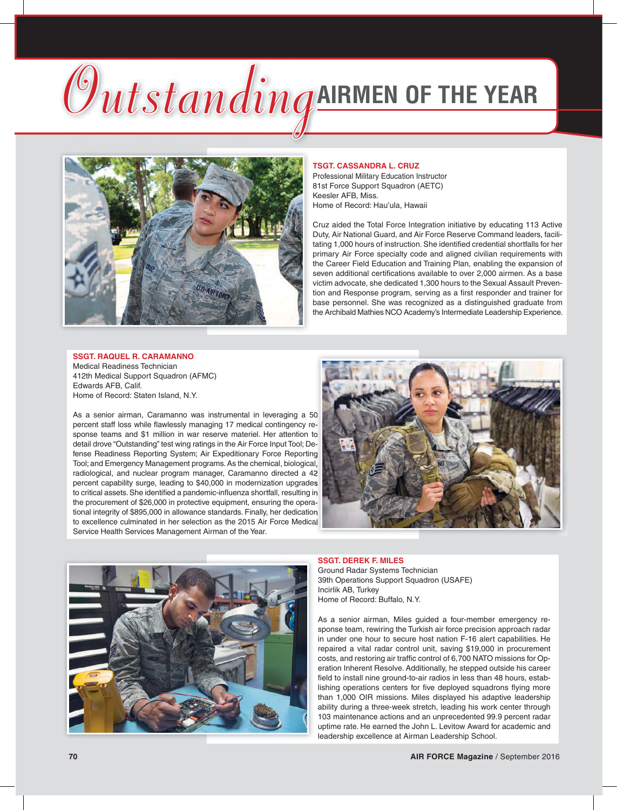# *Outstanding***AIRMEN OF THE YEAR**



### **TSGT. CASSANDRA L. CRUZ**

Professional Military Education Instructor 81st Force Support Squadron (AETC) Keesler AFB, Miss. Home of Record: Hau'ula, Hawaii

Cruz aided the Total Force Integration initiative by educating 113 Active Duty, Air National Guard, and Air Force Reserve Command leaders, facilitating 1,000 hours of instruction. She identified credential shortfalls for her primary Air Force specialty code and aligned civilian requirements with the Career Field Education and Training Plan, enabling the expansion of seven additional certifications available to over 2,000 airmen. As a base victim advocate, she dedicated 1,300 hours to the Sexual Assault Prevention and Response program, serving as a first responder and trainer for base personnel. She was recognized as a distinguished graduate from the Archibald Mathies NCO Academy's Intermediate Leadership Experience.

### **SSGT. RAQUEL R. CARAMANNO**

Medical Readiness Technician 412th Medical Support Squadron (AFMC) Edwards AFB, Calif. Home of Record: Staten Island, N.Y.

As a senior airman, Caramanno was instrumental in leveraging a 50 percent staff loss while flawlessly managing 17 medical contingency response teams and \$1 million in war reserve materiel. Her attention to detail drove "Outstanding" test wing ratings in the Air Force Input Tool; Defense Readiness Reporting System; Air Expeditionary Force Reporting Tool; and Emergency Management programs. As the chemical, biological, radiological, and nuclear program manager, Caramanno directed a 42 percent capability surge, leading to \$40,000 in modernization upgrades to critical assets. She identified a pandemic-influenza shortfall, resulting in the procurement of \$26,000 in protective equipment, ensuring the operational integrity of \$895,000 in allowance standards. Finally, her dedication to excellence culminated in her selection as the 2015 Air Force Medical Service Health Services Management Airman of the Year.





# **SSGT. DEREK F. MILES** Ground Radar Systems Technician

39th Operations Support Squadron (USAFE) Incirlik AB, Turkey Home of Record: Buffalo, N.Y.

As a senior airman, Miles guided a four-member emergency response team, rewiring the Turkish air force precision approach radar in under one hour to secure host nation F-16 alert capabilities. He repaired a vital radar control unit, saving \$19,000 in procurement costs, and restoring air traffic control of 6,700 NATO missions for Operation Inherent Resolve. Additionally, he stepped outside his career field to install nine ground-to-air radios in less than 48 hours, establishing operations centers for five deployed squadrons flying more than 1,000 OIR missions. Miles displayed his adaptive leadership ability during a three-week stretch, leading his work center through 103 maintenance actions and an unprecedented 99.9 percent radar uptime rate. He earned the John L. Levitow Award for academic and leadership excellence at Airman Leadership School.